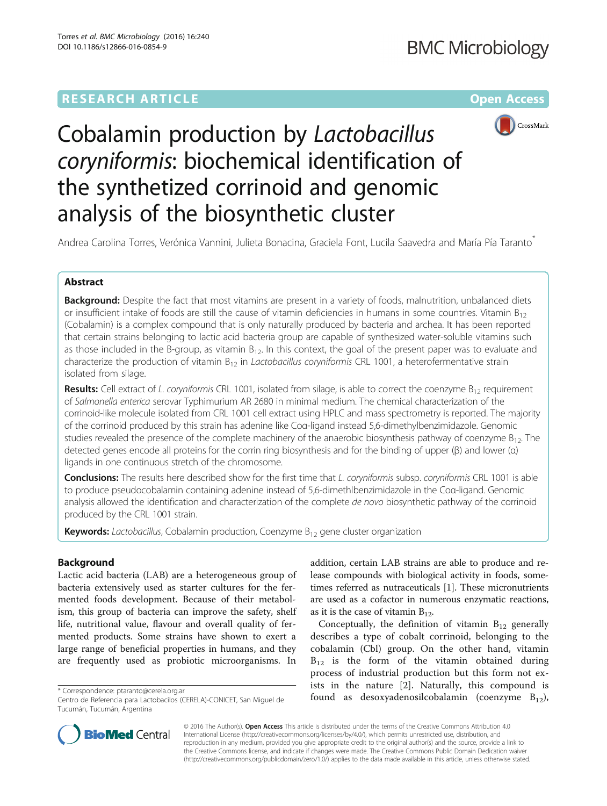# **RESEARCH ARTICLE External Structure Community Community Community Community Community Community Community Community**



Cobalamin production by Lactobacillus coryniformis: biochemical identification of the synthetized corrinoid and genomic analysis of the biosynthetic cluster

Andrea Carolina Torres, Verónica Vannini, Julieta Bonacina, Graciela Font, Lucila Saavedra and María Pía Taranto<sup>\*</sup>

## Abstract

Background: Despite the fact that most vitamins are present in a variety of foods, malnutrition, unbalanced diets or insufficient intake of foods are still the cause of vitamin deficiencies in humans in some countries. Vitamin  $B_{12}$ (Cobalamin) is a complex compound that is only naturally produced by bacteria and archea. It has been reported that certain strains belonging to lactic acid bacteria group are capable of synthesized water-soluble vitamins such as those included in the B-group, as vitamin  $B_{12}$ . In this context, the goal of the present paper was to evaluate and characterize the production of vitamin  $B_{12}$  in Lactobacillus coryniformis CRL 1001, a heterofermentative strain isolated from silage.

**Results:** Cell extract of L. coryniformis CRL 1001, isolated from silage, is able to correct the coenzyme  $B_{12}$  requirement of Salmonella enterica serovar Typhimurium AR 2680 in minimal medium. The chemical characterization of the corrinoid-like molecule isolated from CRL 1001 cell extract using HPLC and mass spectrometry is reported. The majority of the corrinoid produced by this strain has adenine like Coα-ligand instead 5,6-dimethylbenzimidazole. Genomic studies revealed the presence of the complete machinery of the anaerobic biosynthesis pathway of coenzyme  $B_{12}$ . The detected genes encode all proteins for the corrin ring biosynthesis and for the binding of upper (β) and lower (α) ligands in one continuous stretch of the chromosome.

Conclusions: The results here described show for the first time that L. coryniformis subsp. coryniformis CRL 1001 is able to produce pseudocobalamin containing adenine instead of 5,6-dimethlbenzimidazole in the Coα-ligand. Genomic analysis allowed the identification and characterization of the complete de novo biosynthetic pathway of the corrinoid produced by the CRL 1001 strain.

**Keywords:** Lactobacillus, Cobalamin production, Coenzyme  $B_{12}$  gene cluster organization

## Background

Lactic acid bacteria (LAB) are a heterogeneous group of bacteria extensively used as starter cultures for the fermented foods development. Because of their metabolism, this group of bacteria can improve the safety, shelf life, nutritional value, flavour and overall quality of fermented products. Some strains have shown to exert a large range of beneficial properties in humans, and they are frequently used as probiotic microorganisms. In

addition, certain LAB strains are able to produce and release compounds with biological activity in foods, sometimes referred as nutraceuticals [\[1](#page-8-0)]. These micronutrients are used as a cofactor in numerous enzymatic reactions, as it is the case of vitamin  $B_{12}$ .

Conceptually, the definition of vitamin  $B_{12}$  generally describes a type of cobalt corrinoid, belonging to the cobalamin (Cbl) group. On the other hand, vitamin  $B_{12}$  is the form of the vitamin obtained during process of industrial production but this form not exists in the nature [\[2](#page-8-0)]. Naturally, this compound is \* Correspondence: [ptaranto@cerela.org.ar](mailto:ptaranto@cerela.org.ar) as the component of the control of the coenzyme  $B_{12}$ , and  $B_{12}$ ,  $B_{12}$ ,  $C_{12}$ ,  $D_{21}$ ,  $D_{22}$ ,  $D_{21}$ ,  $D_{22}$ ,  $D_{21}$ ,  $D_{22}$ ,  $D_{21}$ ,  $D_{22}$ ,  $D_{21}$ ,  $D_{22}$ ,  $D$ 



© 2016 The Author(s). Open Access This article is distributed under the terms of the Creative Commons Attribution 4.0 International License [\(http://creativecommons.org/licenses/by/4.0/](http://creativecommons.org/licenses/by/4.0/)), which permits unrestricted use, distribution, and reproduction in any medium, provided you give appropriate credit to the original author(s) and the source, provide a link to the Creative Commons license, and indicate if changes were made. The Creative Commons Public Domain Dedication waiver [\(http://creativecommons.org/publicdomain/zero/1.0/](http://creativecommons.org/publicdomain/zero/1.0/)) applies to the data made available in this article, unless otherwise stated.

Centro de Referencia para Lactobacilos (CERELA)-CONICET, San Miguel de Tucumán, Tucumán, Argentina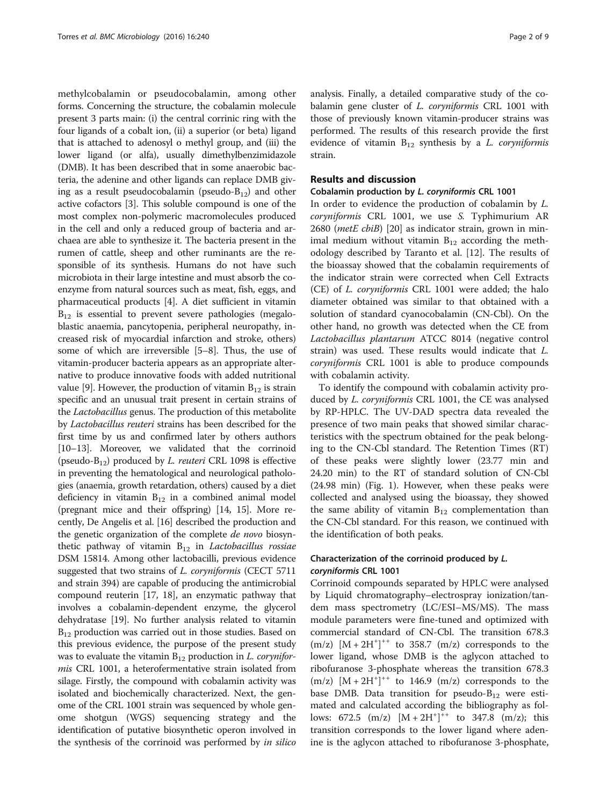methylcobalamin or pseudocobalamin, among other forms. Concerning the structure, the cobalamin molecule present 3 parts main: (i) the central corrinic ring with the four ligands of a cobalt ion, (ii) a superior (or beta) ligand that is attached to adenosyl o methyl group, and (iii) the lower ligand (or alfa), usually dimethylbenzimidazole (DMB). It has been described that in some anaerobic bacteria, the adenine and other ligands can replace DMB giving as a result pseudocobalamin (pseudo- $B_{12}$ ) and other active cofactors [[3\]](#page-8-0). This soluble compound is one of the most complex non-polymeric macromolecules produced in the cell and only a reduced group of bacteria and archaea are able to synthesize it. The bacteria present in the rumen of cattle, sheep and other ruminants are the responsible of its synthesis. Humans do not have such microbiota in their large intestine and must absorb the coenzyme from natural sources such as meat, fish, eggs, and pharmaceutical products [\[4](#page-8-0)]. A diet sufficient in vitamin  $B_{12}$  is essential to prevent severe pathologies (megaloblastic anaemia, pancytopenia, peripheral neuropathy, increased risk of myocardial infarction and stroke, others) some of which are irreversible [[5](#page-8-0)–[8](#page-8-0)]. Thus, the use of vitamin-producer bacteria appears as an appropriate alternative to produce innovative foods with added nutritional value [\[9](#page-8-0)]. However, the production of vitamin  $B_{12}$  is strain specific and an unusual trait present in certain strains of the Lactobacillus genus. The production of this metabolite by Lactobacillus reuteri strains has been described for the first time by us and confirmed later by others authors [[10](#page-8-0)–[13\]](#page-8-0). Moreover, we validated that the corrinoid (pseudo- $B_{12}$ ) produced by *L. reuteri* CRL 1098 is effective in preventing the hematological and neurological pathologies (anaemia, growth retardation, others) caused by a diet deficiency in vitamin  $B_{12}$  in a combined animal model (pregnant mice and their offspring) [\[14, 15\]](#page-8-0). More recently, De Angelis et al. [\[16\]](#page-8-0) described the production and the genetic organization of the complete *de novo* biosynthetic pathway of vitamin  $B_{12}$  in *Lactobacillus rossiae* DSM 15814. Among other lactobacilli, previous evidence suggested that two strains of *L. coryniformis* (CECT 5711 and strain 394) are capable of producing the antimicrobial compound reuterin [[17](#page-8-0), [18](#page-8-0)], an enzymatic pathway that involves a cobalamin-dependent enzyme, the glycerol dehydratase [[19](#page-8-0)]. No further analysis related to vitamin  $B_{12}$  production was carried out in those studies. Based on this previous evidence, the purpose of the present study was to evaluate the vitamin  $B_{12}$  production in L. coryniformis CRL 1001, a heterofermentative strain isolated from silage. Firstly, the compound with cobalamin activity was isolated and biochemically characterized. Next, the genome of the CRL 1001 strain was sequenced by whole genome shotgun (WGS) sequencing strategy and the identification of putative biosynthetic operon involved in the synthesis of the corrinoid was performed by in silico

analysis. Finally, a detailed comparative study of the cobalamin gene cluster of L. coryniformis CRL 1001 with those of previously known vitamin-producer strains was performed. The results of this research provide the first evidence of vitamin  $B_{12}$  synthesis by a L. coryniformis strain.

## Results and discussion

#### Cobalamin production by L. coryniformis CRL 1001

In order to evidence the production of cobalamin by L. coryniformis CRL 1001, we use S. Typhimurium AR 2680 (*metE cbiB*) [\[20](#page-8-0)] as indicator strain, grown in minimal medium without vitamin  $B_{12}$  according the methodology described by Taranto et al. [[12](#page-8-0)]. The results of the bioassay showed that the cobalamin requirements of the indicator strain were corrected when Cell Extracts (CE) of L. coryniformis CRL 1001 were added; the halo diameter obtained was similar to that obtained with a solution of standard cyanocobalamin (CN-Cbl). On the other hand, no growth was detected when the CE from Lactobacillus plantarum ATCC 8014 (negative control strain) was used. These results would indicate that L. coryniformis CRL 1001 is able to produce compounds with cobalamin activity.

To identify the compound with cobalamin activity produced by *L. coryniformis* CRL 1001, the CE was analysed by RP-HPLC. The UV-DAD spectra data revealed the presence of two main peaks that showed similar characteristics with the spectrum obtained for the peak belonging to the CN-Cbl standard. The Retention Times (RT) of these peaks were slightly lower (23.77 min and 24.20 min) to the RT of standard solution of CN-Cbl (24.98 min) (Fig. [1\)](#page-2-0). However, when these peaks were collected and analysed using the bioassay, they showed the same ability of vitamin  $B_{12}$  complementation than the CN-Cbl standard. For this reason, we continued with the identification of both peaks.

## Characterization of the corrinoid produced by L. coryniformis CRL 1001

Corrinoid compounds separated by HPLC were analysed by Liquid chromatography–electrospray ionization/tandem mass spectrometry (LC/ESI–MS/MS). The mass module parameters were fine-tuned and optimized with commercial standard of CN-Cbl. The transition 678.3  $(m/z)$   $[M + 2H^+]^{++}$  to 358.7  $(m/z)$  corresponds to the lower ligand, whose DMB is the aglycon attached to ribofuranose 3-phosphate whereas the transition 678.3  $(m/z)$   $[M + 2H^+]^{++}$  to 146.9  $(m/z)$  corresponds to the base DMB. Data transition for pseudo- $B_{12}$  were estimated and calculated according the bibliography as follows: 672.5  $(m/z)$   $[M + 2H^+]^{++}$  to 347.8  $(m/z)$ ; this transition corresponds to the lower ligand where adenine is the aglycon attached to ribofuranose 3-phosphate,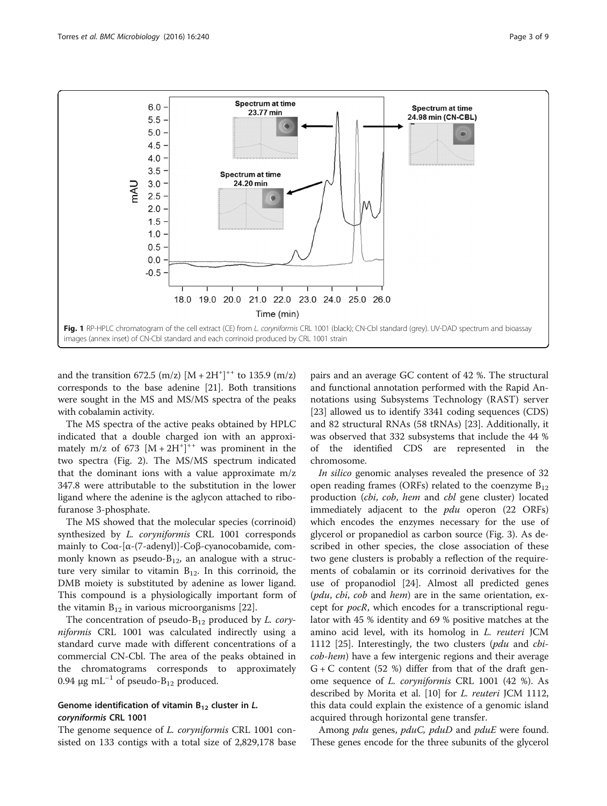<span id="page-2-0"></span>

and the transition  $672.5 \, (m/z) \, [M + 2H^+]^{++}$  to 135.9  $(m/z)$ corresponds to the base adenine [\[21\]](#page-8-0). Both transitions were sought in the MS and MS/MS spectra of the peaks with cobalamin activity.

The MS spectra of the active peaks obtained by HPLC indicated that a double charged ion with an approximately m/z of 673  $[M + 2H^+]^{++}$  was prominent in the two spectra (Fig. [2\)](#page-3-0). The MS/MS spectrum indicated that the dominant ions with a value approximate m/z 347.8 were attributable to the substitution in the lower ligand where the adenine is the aglycon attached to ribofuranose 3-phosphate.

The MS showed that the molecular species (corrinoid) synthesized by L. coryniformis CRL 1001 corresponds mainly to Coα-[α-(7-adenyl)]-Coβ-cyanocobamide, commonly known as pseudo- $B_{12}$ , an analogue with a structure very similar to vitamin  $B_{12}$ . In this corrinoid, the DMB moiety is substituted by adenine as lower ligand. This compound is a physiologically important form of the vitamin  $B_{12}$  in various microorganisms [\[22](#page-8-0)].

The concentration of pseudo- $B_{12}$  produced by *L. cory*niformis CRL 1001 was calculated indirectly using a standard curve made with different concentrations of a commercial CN-Cbl. The area of the peaks obtained in the chromatograms corresponds to approximately 0.94 μg mL<sup>-1</sup> of pseudo-B<sub>12</sub> produced.

## Genome identification of vitamin  $B_{12}$  cluster in L. coryniformis CRL 1001

The genome sequence of *L. coryniformis* CRL 1001 consisted on 133 contigs with a total size of 2,829,178 base

pairs and an average GC content of 42 %. The structural and functional annotation performed with the Rapid Annotations using Subsystems Technology (RAST) server [[23\]](#page-8-0) allowed us to identify 3341 coding sequences (CDS) and 82 structural RNAs (58 tRNAs) [\[23\]](#page-8-0). Additionally, it was observed that 332 subsystems that include the 44 % of the identified CDS are represented in the chromosome.

In silico genomic analyses revealed the presence of 32 open reading frames (ORFs) related to the coenzyme  $B_{12}$ production (cbi, cob, hem and cbl gene cluster) located immediately adjacent to the *pdu* operon (22 ORFs) which encodes the enzymes necessary for the use of glycerol or propanediol as carbon source (Fig. [3\)](#page-4-0). As described in other species, the close association of these two gene clusters is probably a reflection of the requirements of cobalamin or its corrinoid derivatives for the use of propanodiol [[24\]](#page-8-0). Almost all predicted genes (pdu, cbi, cob and hem) are in the same orientation, except for pocR, which encodes for a transcriptional regulator with 45 % identity and 69 % positive matches at the amino acid level, with its homolog in L. reuteri JCM 1112 [[25\]](#page-8-0). Interestingly, the two clusters ( $pdu$  and  $cbi$ cob-hem) have a few intergenic regions and their average  $G + C$  content (52 %) differ from that of the draft genome sequence of L. coryniformis CRL 1001 (42 %). As described by Morita et al. [[10\]](#page-8-0) for L. reuteri JCM 1112, this data could explain the existence of a genomic island acquired through horizontal gene transfer.

Among *pdu* genes, *pduC*, *pduD* and *pduE* were found. These genes encode for the three subunits of the glycerol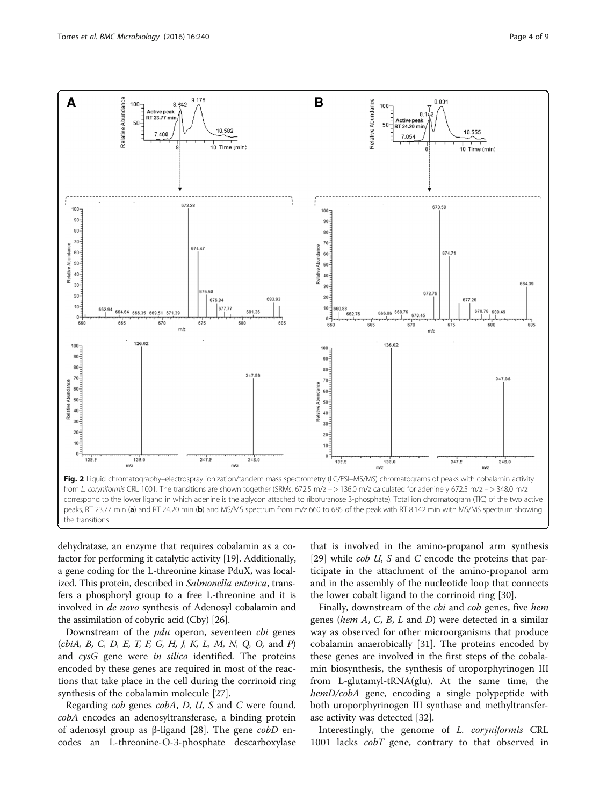

<span id="page-3-0"></span>

dehydratase, an enzyme that requires cobalamin as a cofactor for performing it catalytic activity [[19\]](#page-8-0). Additionally, a gene coding for the L-threonine kinase PduX, was localized. This protein, described in Salmonella enterica, transfers a phosphoryl group to a free L-threonine and it is involved in de novo synthesis of Adenosyl cobalamin and the assimilation of cobyric acid (Cby) [[26](#page-8-0)].

Downstream of the *pdu* operon, seventeen *cbi* genes  $\langle cbiA, B, C, D, E, T, F, G, H, J, K, L, M, N, Q, O, \text{ and } P \rangle$ and cysG gene were in silico identified. The proteins encoded by these genes are required in most of the reactions that take place in the cell during the corrinoid ring synthesis of the cobalamin molecule [\[27](#page-8-0)].

Regarding cob genes cobA, D, U, S and C were found. cobA encodes an adenosyltransferase, a binding protein of adenosyl group as β-ligand [[28\]](#page-8-0). The gene  $\alpha$ *bD* encodes an L-threonine-O-3-phosphate descarboxylase

that is involved in the amino-propanol arm synthesis [[29\]](#page-8-0) while *cob U*, S and C encode the proteins that participate in the attachment of the amino-propanol arm and in the assembly of the nucleotide loop that connects the lower cobalt ligand to the corrinoid ring [[30\]](#page-8-0).

Finally, downstream of the *cbi* and *cob* genes, five hem genes (hem  $A$ ,  $C$ ,  $B$ ,  $L$  and  $D$ ) were detected in a similar way as observed for other microorganisms that produce cobalamin anaerobically [\[31](#page-8-0)]. The proteins encoded by these genes are involved in the first steps of the cobalamin biosynthesis, the synthesis of uroporphyrinogen III from L-glutamyl-tRNA(glu). At the same time, the hemD/cobA gene, encoding a single polypeptide with both uroporphyrinogen III synthase and methyltransferase activity was detected [\[32\]](#page-8-0).

Interestingly, the genome of L. coryniformis CRL 1001 lacks *cobT* gene, contrary to that observed in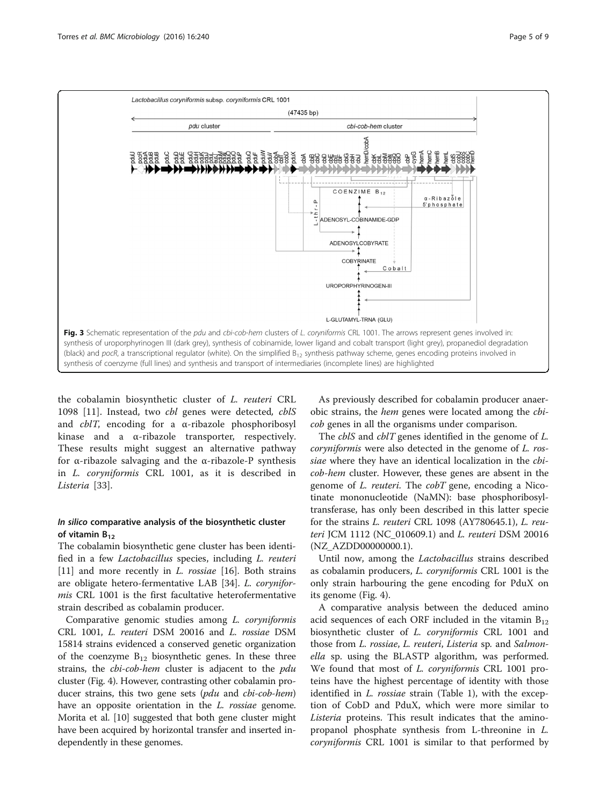<span id="page-4-0"></span>

the cobalamin biosynthetic cluster of L. reuteri CRL 1098 [[11\]](#page-8-0). Instead, two cbl genes were detected, cblS and  $cblT$ , encoding for a  $\alpha$ -ribazole phosphoribosyl kinase and a α-ribazole transporter, respectively. These results might suggest an alternative pathway for α-ribazole salvaging and the α-ribazole-P synthesis in L. coryniformis CRL 1001, as it is described in Listeria [[33](#page-8-0)].

## In silico comparative analysis of the biosynthetic cluster of vitamin  $B_{12}$

The cobalamin biosynthetic gene cluster has been identified in a few Lactobacillus species, including L. reuteri [[11\]](#page-8-0) and more recently in *L. rossiae* [[16\]](#page-8-0). Both strains are obligate hetero-fermentative LAB [\[34](#page-8-0)]. L. coryniformis CRL 1001 is the first facultative heterofermentative strain described as cobalamin producer.

Comparative genomic studies among L. coryniformis CRL 1001, L. reuteri DSM 20016 and L. rossiae DSM 15814 strains evidenced a conserved genetic organization of the coenzyme  $B_{12}$  biosynthetic genes. In these three strains, the *cbi-cob-hem* cluster is adjacent to the *pdu* cluster (Fig. [4\)](#page-5-0). However, contrasting other cobalamin producer strains, this two gene sets (pdu and cbi-cob-hem) have an opposite orientation in the *L. rossiae* genome. Morita et al. [\[10](#page-8-0)] suggested that both gene cluster might have been acquired by horizontal transfer and inserted independently in these genomes.

As previously described for cobalamin producer anaerobic strains, the hem genes were located among the cbicob genes in all the organisms under comparison.

The *cblS* and *cblT* genes identified in the genome of *L*. coryniformis were also detected in the genome of L. rossiae where they have an identical localization in the *cbi*cob-hem cluster. However, these genes are absent in the genome of *L. reuteri*. The *cobT* gene, encoding a Nicotinate mononucleotide (NaMN): base phosphoribosyltransferase, has only been described in this latter specie for the strains L. reuteri CRL 1098 (AY780645.1), L. reuteri JCM 1112 (NC\_010609.1) and L. reuteri DSM 20016 (NZ\_AZDD00000000.1).

Until now, among the Lactobacillus strains described as cobalamin producers, L. coryniformis CRL 1001 is the only strain harbouring the gene encoding for PduX on its genome (Fig. [4\)](#page-5-0).

A comparative analysis between the deduced amino acid sequences of each ORF included in the vitamin  $B_{12}$ biosynthetic cluster of *L. coryniformis* CRL 1001 and those from L. rossiae, L. reuteri, Listeria sp. and Salmonella sp. using the BLASTP algorithm, was performed. We found that most of *L. coryniformis* CRL 1001 proteins have the highest percentage of identity with those identified in *L. rossiae* strain (Table [1\)](#page-6-0), with the exception of CobD and PduX, which were more similar to Listeria proteins. This result indicates that the aminopropanol phosphate synthesis from L-threonine in L. coryniformis CRL 1001 is similar to that performed by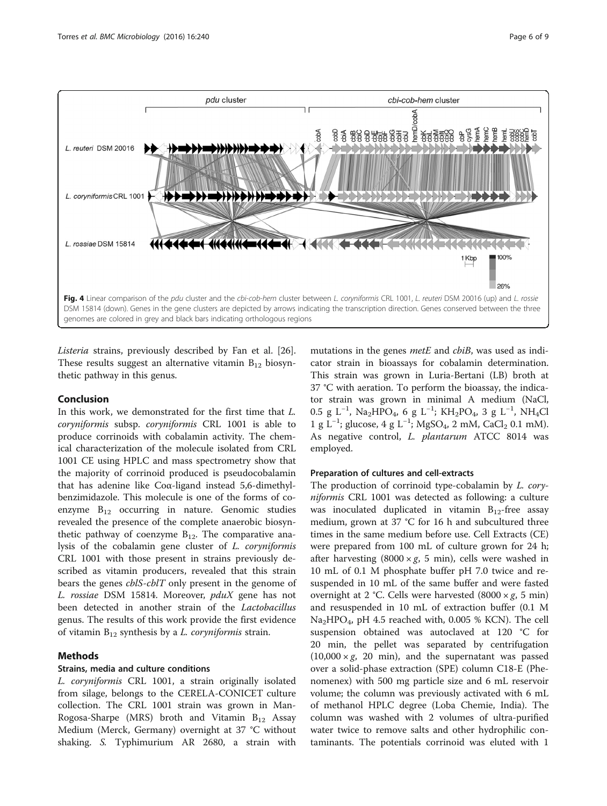<span id="page-5-0"></span>

Listeria strains, previously described by Fan et al. [\[26](#page-8-0)]. These results suggest an alternative vitamin  $B_{12}$  biosynthetic pathway in this genus.

## Conclusion

In this work, we demonstrated for the first time that L. coryniformis subsp. coryniformis CRL 1001 is able to produce corrinoids with cobalamin activity. The chemical characterization of the molecule isolated from CRL 1001 CE using HPLC and mass spectrometry show that the majority of corrinoid produced is pseudocobalamin that has adenine like Coα-ligand instead 5,6-dimethylbenzimidazole. This molecule is one of the forms of coenzyme  $B_{12}$  occurring in nature. Genomic studies revealed the presence of the complete anaerobic biosynthetic pathway of coenzyme  $B_{12}$ . The comparative analysis of the cobalamin gene cluster of L. coryniformis CRL 1001 with those present in strains previously described as vitamin producers, revealed that this strain bears the genes *cblS-cblT* only present in the genome of L. rossiae DSM 15814. Moreover, pduX gene has not been detected in another strain of the Lactobacillus genus. The results of this work provide the first evidence of vitamin  $B_{12}$  synthesis by a *L. coryniformis* strain.

## Methods

## Strains, media and culture conditions

L. coryniformis CRL 1001, a strain originally isolated from silage, belongs to the CERELA-CONICET culture collection. The CRL 1001 strain was grown in Man-Rogosa-Sharpe (MRS) broth and Vitamin  $B_{12}$  Assay Medium (Merck, Germany) overnight at 37 °C without shaking. S. Typhimurium AR 2680, a strain with

mutations in the genes *metE* and *cbiB*, was used as indicator strain in bioassays for cobalamin determination. This strain was grown in Luria-Bertani (LB) broth at 37 °C with aeration. To perform the bioassay, the indicator strain was grown in minimal A medium (NaCl, 0.5 g L<sup>-1</sup>, Na<sub>2</sub>HPO<sub>4</sub>, 6 g L<sup>-1</sup>; KH<sub>2</sub>PO<sub>4</sub>, 3 g L<sup>-1</sup>, NH<sub>4</sub>Cl 1 g L<sup>-1</sup>; glucose, 4 g L<sup>-1</sup>; MgSO<sub>4</sub>, 2 mM, CaCl<sub>2</sub> 0.1 mM). As negative control, L. plantarum ATCC 8014 was employed.

#### Preparation of cultures and cell-extracts

The production of corrinoid type-cobalamin by L. coryniformis CRL 1001 was detected as following: a culture was inoculated duplicated in vitamin  $B_{12}$ -free assay medium, grown at 37 °C for 16 h and subcultured three times in the same medium before use. Cell Extracts (CE) were prepared from 100 mL of culture grown for 24 h; after harvesting (8000  $\times g$ , 5 min), cells were washed in 10 mL of 0.1 M phosphate buffer pH 7.0 twice and resuspended in 10 mL of the same buffer and were fasted overnight at 2 °C. Cells were harvested  $(8000 \times g, 5 \text{ min})$ and resuspended in 10 mL of extraction buffer (0.1 M  $Na<sub>2</sub>HPO<sub>4</sub>$ , pH 4.5 reached with, 0.005 % KCN). The cell suspension obtained was autoclaved at 120 °C for 20 min, the pellet was separated by centrifugation  $(10,000 \times g, 20 \text{ min})$ , and the supernatant was passed over a solid-phase extraction (SPE) column C18-E (Phenomenex) with 500 mg particle size and 6 mL reservoir volume; the column was previously activated with 6 mL of methanol HPLC degree (Loba Chemie, India). The column was washed with 2 volumes of ultra-purified water twice to remove salts and other hydrophilic contaminants. The potentials corrinoid was eluted with 1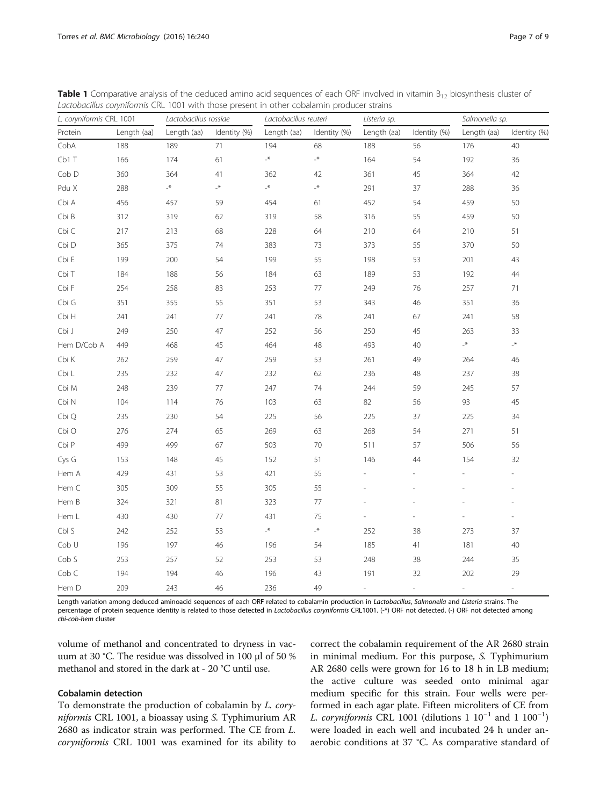| L. coryniformis CRL 1001 |             | Lactobacillus rossiae |              | Lactobacillus reuteri |                 | Listeria sp.  |               | Salmonella sp.  |                          |
|--------------------------|-------------|-----------------------|--------------|-----------------------|-----------------|---------------|---------------|-----------------|--------------------------|
| Protein                  | Length (aa) | Length (aa)           | Identity (%) | Length (aa)           | Identity (%)    | Length (aa)   | Identity (%)  | Length (aa)     | Identity (%)             |
| CobA                     | 188         | 189                   | 71           | 194                   | 68              | 188           | 56            | 176             | 40                       |
| Cb1T                     | 166         | 174                   | 61           | $\mathcal{N}_-$       | $\mathcal{K}_-$ | 164           | 54            | 192             | 36                       |
| Cob D                    | 360         | 364                   | 41           | 362                   | 42              | 361           | 45            | 364             | 42                       |
| Pdu X                    | 288         | $\star_-$             | $\mathbb{R}$ | $\mathbf{A}_{-}$      | $\mathbf{R}$    | 291           | 37            | 288             | 36                       |
| Cbi A                    | 456         | 457                   | 59           | 454                   | 61              | 452           | 54            | 459             | 50                       |
| Cbi B                    | 312         | 319                   | 62           | 319                   | 58              | 316           | 55            | 459             | 50                       |
| Cbi C                    | 217         | 213                   | 68           | 228                   | 64              | 210           | 64            | 210             | 51                       |
| Cbi D                    | 365         | 375                   | 74           | 383                   | 73              | 373           | 55            | 370             | 50                       |
| Cbi E                    | 199         | 200                   | 54           | 199                   | 55              | 198           | 53            | 201             | 43                       |
| Cbi T                    | 184         | 188                   | 56           | 184                   | 63              | 189           | 53            | 192             | $44\,$                   |
| Cbi F                    | 254         | 258                   | 83           | 253                   | 77              | 249           | 76            | 257             | 71                       |
| Cbi G                    | 351         | 355                   | 55           | 351                   | 53              | 343           | 46            | 351             | 36                       |
| Cbi H                    | 241         | 241                   | $77\,$       | 241                   | 78              | 241           | 67            | 241             | 58                       |
| Cbi J                    | 249         | 250                   | 47           | 252                   | 56              | 250           | 45            | 263             | 33                       |
| Hem D/Cob A              | 449         | 468                   | 45           | 464                   | 48              | 493           | 40            | $\mathcal{N}_-$ | $\mathcal{N}_-$          |
| Cbi K                    | 262         | 259                   | 47           | 259                   | 53              | 261           | 49            | 264             | 46                       |
| Cbi L                    | 235         | 232                   | 47           | 232                   | 62              | 236           | 48            | 237             | 38                       |
| Cbi M                    | 248         | 239                   | 77           | 247                   | 74              | 244           | 59            | 245             | 57                       |
| Cbi N                    | 104         | 114                   | 76           | 103                   | 63              | 82            | 56            | 93              | 45                       |
| Cbi Q                    | 235         | 230                   | 54           | 225                   | 56              | 225           | 37            | 225             | 34                       |
| Cbi O                    | 276         | 274                   | 65           | 269                   | 63              | 268           | 54            | 271             | 51                       |
| Cbi P                    | 499         | 499                   | 67           | 503                   | 70              | 511           | 57            | 506             | 56                       |
| Cys G                    | 153         | 148                   | 45           | 152                   | 51              | 146           | 44            | 154             | 32                       |
| Hem A                    | 429         | 431                   | 53           | 421                   | 55              |               |               |                 |                          |
| Hem C                    | 305         | 309                   | 55           | 305                   | 55              |               |               |                 |                          |
| Hem B                    | 324         | 321                   | 81           | 323                   | 77              |               |               |                 |                          |
| Hem L                    | 430         | 430                   | 77           | 431                   | 75              |               |               |                 | $\frac{1}{2}$            |
| Cbl S                    | 242         | 252                   | 53           | $\mathcal{N}_-$       | $\mathcal{N}_-$ | 252           | 38            | 273             | 37                       |
| Cob U                    | 196         | 197                   | 46           | 196                   | 54              | 185           | 41            | 181             | 40                       |
| Cob S                    | 253         | 257                   | 52           | 253                   | 53              | 248           | 38            | 244             | 35                       |
| Cob C                    | 194         | 194                   | 46           | 196                   | 43              | 191           | 32            | 202             | 29                       |
| Hem D                    | 209         | 243                   | 46           | 236                   | 49              | $\frac{1}{2}$ | $\frac{1}{2}$ | $\frac{1}{2}$   | $\overline{\phantom{a}}$ |

<span id="page-6-0"></span>**Table 1** Comparative analysis of the deduced amino acid sequences of each ORF involved in vitamin  $B_{12}$  biosynthesis cluster of Lactobacillus coryniformis CRL 1001 with those present in other cobalamin producer strains

Length variation among deduced aminoacid sequences of each ORF related to cobalamin production in Lactobacillus, Salmonella and Listeria strains. The percentage of protein sequence identity is related to those detected in Lactobacillus coryniformis CRL1001. (-\*) ORF not detected. (-) ORF not detected among cbi-cob-hem cluster

volume of methanol and concentrated to dryness in vacuum at 30 °C. The residue was dissolved in 100 μl of 50 % methanol and stored in the dark at - 20 °C until use.

## Cobalamin detection

To demonstrate the production of cobalamin by L. coryniformis CRL 1001, a bioassay using S. Typhimurium AR 2680 as indicator strain was performed. The CE from L. coryniformis CRL 1001 was examined for its ability to

correct the cobalamin requirement of the AR 2680 strain in minimal medium. For this purpose, S. Typhimurium AR 2680 cells were grown for 16 to 18 h in LB medium; the active culture was seeded onto minimal agar medium specific for this strain. Four wells were performed in each agar plate. Fifteen microliters of CE from L. coryniformis CRL 1001 (dilutions 1  $10^{-1}$  and 1  $100^{-1}$ ) were loaded in each well and incubated 24 h under anaerobic conditions at 37 °C. As comparative standard of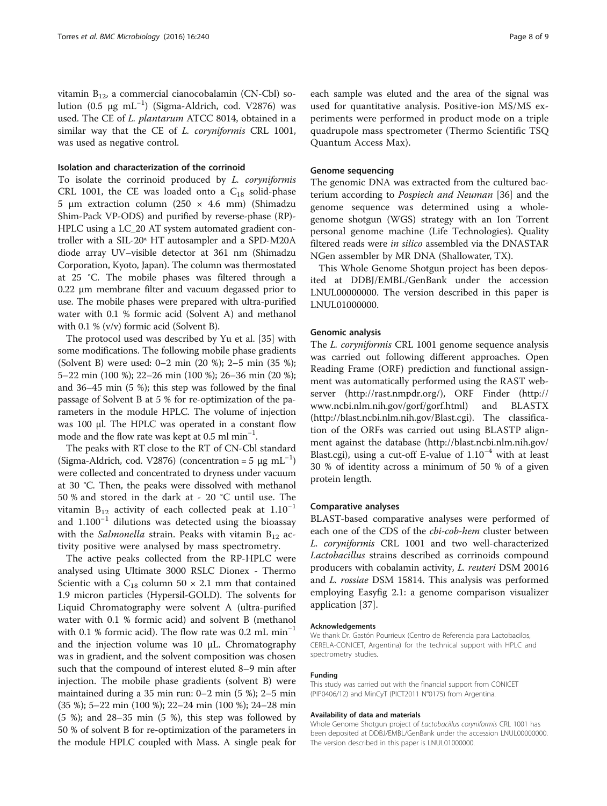vitamin  $B_{12}$ , a commercial cianocobalamin (CN-Cbl) solution (0.5 μg mL<sup>-1</sup>) (Sigma-Aldrich, cod. V2876) was used. The CE of L. plantarum ATCC 8014, obtained in a similar way that the CE of *L. coryniformis* CRL 1001, was used as negative control.

#### Isolation and characterization of the corrinoid

To isolate the corrinoid produced by L. coryniformis CRL 1001, the CE was loaded onto a  $C_{18}$  solid-phase 5 μm extraction column (250 × 4.6 mm) (Shimadzu Shim-Pack VP-ODS) and purified by reverse-phase (RP)- HPLC using a LC\_20 AT system automated gradient controller with a SIL-20ª HT autosampler and a SPD-M20A diode array UV–visible detector at 361 nm (Shimadzu Corporation, Kyoto, Japan). The column was thermostated at 25 °C. The mobile phases was filtered through a 0.22 μm membrane filter and vacuum degassed prior to use. The mobile phases were prepared with ultra-purified water with 0.1 % formic acid (Solvent A) and methanol with 0.1 % (v/v) formic acid (Solvent B).

The protocol used was described by Yu et al. [[35](#page-8-0)] with some modifications. The following mobile phase gradients (Solvent B) were used: 0–2 min (20 %); 2–5 min (35 %); 5–22 min (100 %); 22–26 min (100 %); 26–36 min (20 %); and 36–45 min (5 %); this step was followed by the final passage of Solvent B at 5 % for re-optimization of the parameters in the module HPLC. The volume of injection was 100 μl. The HPLC was operated in a constant flow mode and the flow rate was kept at 0.5 ml min−<sup>1</sup> .

The peaks with RT close to the RT of CN-Cbl standard (Sigma-Aldrich, cod. V2876) (concentration = 5  $\mu$ g mL<sup>-1</sup>) were collected and concentrated to dryness under vacuum at 30 °C. Then, the peaks were dissolved with methanol 50 % and stored in the dark at - 20 °C until use. The vitamin B<sub>12</sub> activity of each collected peak at  $1.10^{-1}$ and 1.100−<sup>1</sup> dilutions was detected using the bioassay with the Salmonella strain. Peaks with vitamin  $B_{12}$  activity positive were analysed by mass spectrometry.

The active peaks collected from the RP-HPLC were analysed using Ultimate 3000 RSLC Dionex - Thermo Scientic with a  $C_{18}$  column 50  $\times$  2.1 mm that contained 1.9 micron particles (Hypersil-GOLD). The solvents for Liquid Chromatography were solvent A (ultra-purified water with 0.1 % formic acid) and solvent B (methanol with 0.1 % formic acid). The flow rate was 0.2 mL min−<sup>1</sup> and the injection volume was 10 μL. Chromatography was in gradient, and the solvent composition was chosen such that the compound of interest eluted 8–9 min after injection. The mobile phase gradients (solvent B) were maintained during a 35 min run: 0–2 min (5 %); 2–5 min (35 %); 5–22 min (100 %); 22–24 min (100 %); 24–28 min (5 %); and 28–35 min (5 %), this step was followed by 50 % of solvent B for re-optimization of the parameters in the module HPLC coupled with Mass. A single peak for each sample was eluted and the area of the signal was used for quantitative analysis. Positive-ion MS/MS experiments were performed in product mode on a triple quadrupole mass spectrometer (Thermo Scientific TSQ Quantum Access Max).

## Genome sequencing

The genomic DNA was extracted from the cultured bacterium according to Pospiech and Neuman [[36](#page-8-0)] and the genome sequence was determined using a wholegenome shotgun (WGS) strategy with an Ion Torrent personal genome machine (Life Technologies). Quality filtered reads were in silico assembled via the DNASTAR NGen assembler by MR DNA (Shallowater, TX).

This Whole Genome Shotgun project has been deposited at DDBJ/EMBL/GenBank under the accession LNUL00000000. The version described in this paper is LNUL01000000.

#### Genomic analysis

The L. coryniformis CRL 1001 genome sequence analysis was carried out following different approaches. Open Reading Frame (ORF) prediction and functional assignment was automatically performed using the RAST webserver ([http://rast.nmpdr.org/\)](http://rast.nmpdr.org/), ORF Finder [\(http://](http://www.ncbi.nlm.nih.gov/gorf/gorf.html) [www.ncbi.nlm.nih.gov/gorf/gorf.html](http://www.ncbi.nlm.nih.gov/gorf/gorf.html)) and BLASTX (<http://blast.ncbi.nlm.nih.gov/Blast.cgi>). The classification of the ORFs was carried out using BLASTP alignment against the database ([http://blast.ncbi.nlm.nih.gov/](http://blast.ncbi.nlm.nih.gov/Blast.cgi) [Blast.cgi](http://blast.ncbi.nlm.nih.gov/Blast.cgi)), using a cut-off E-value of  $1.10^{-4}$  with at least 30 % of identity across a minimum of 50 % of a given protein length.

#### Comparative analyses

BLAST-based comparative analyses were performed of each one of the CDS of the *cbi-cob-hem* cluster between L. coryniformis CRL 1001 and two well-characterized Lactobacillus strains described as corrinoids compound producers with cobalamin activity, L. reuteri DSM 20016 and L. rossiae DSM 15814. This analysis was performed employing Easyfig 2.1: a genome comparison visualizer application [[37\]](#page-8-0).

#### Acknowledgements

We thank Dr. Gastón Pourrieux (Centro de Referencia para Lactobacilos, CERELA-CONICET, Argentina) for the technical support with HPLC and spectrometry studies.

#### Funding

This study was carried out with the financial support from CONICET (PIP0406/12) and MinCyT (PICT2011 N°0175) from Argentina.

## Availability of data and materials

Whole Genome Shotgun project of Lactobacillus coryniformis CRL 1001 has been deposited at DDBJ/EMBL/GenBank under the accession LNUL00000000. The version described in this paper is LNUL01000000.